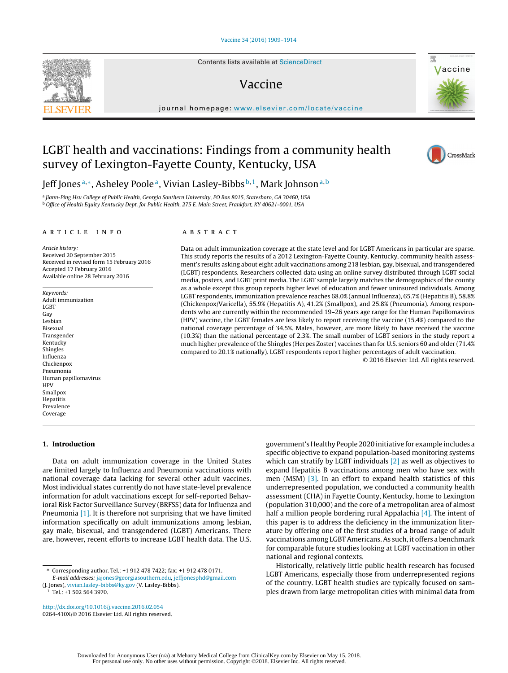Contents lists available at [ScienceDirect](http://www.sciencedirect.com/science/journal/0264410X)

# Vaccine

iournal homepage: [www.elsevier.com/locate/vaccine](http://www.elsevier.com/locate/vaccine)

# LGBT health and vaccinations: Findings from a community health survey of Lexington-Fayette County, Kentucky, USA

Jeff Jones<sup>a,∗</sup>, Asheley Poole<sup>a</sup>, Vivian Lasley-Bibbs<sup>b,1</sup>, Mark Johnson<sup>a,b</sup>

<sup>a</sup> Jiann-Ping Hsu College of Public Health, Georgia Southern University, PO Box 8015, Statesboro, GA 30460, USA <sup>b</sup> Office of Health Equity Kentucky Dept. for Public Health, 275 E. Main Street, Frankfort, KY 40621-0001, USA

## a r t i c l e i n f o

Article history: Received 20 September 2015 Received in revised form 15 February 2016 Accepted 17 February 2016 Available online 28 February 2016

Keywords: Adult immunization **LGBT** Gay Lesbian Bisexual Transgender Kentucky Shingles Influenza Chickenpox Pneumonia Human papillomavirus **HPV** Smallpox Hepatitis Prevalence Coverage

# **1. Introduction**

Data on adult immunization coverage in the United States are limited largely to Influenza and Pneumonia vaccinations with national coverage data lacking for several other adult vaccines. Most individual states currently do not have state-level prevalence information for adult vaccinations except for self-reported Behavioral Risk Factor Surveillance Survey (BRFSS) data for Influenza and Pneumonia [\[1\].](#page-4-0) It is therefore not surprising that we have limited information specifically on adult immunizations among lesbian, gay male, bisexual, and transgendered (LGBT) Americans. There are, however, recent efforts to increase LGBT health data. The U.S.

∗ Corresponding author. Tel.: +1 912 478 7422; fax: +1 912 478 0171. E-mail addresses: [jajones@georgiasouthern.edu,](mailto:jajones@georgiasouthern.edu) [jeffjonesphd@gmail.com](mailto:jeffjonesphd@gmail.com)

 $1$  Tel.: +1 502 564 3970.

[http://dx.doi.org/10.1016/j.vaccine.2016.02.054](dx.doi.org/10.1016/j.vaccine.2016.02.054) 0264-410X/© 2016 Elsevier Ltd. All rights reserved.

# A B S T R A C T

Data on adult immunization coverage at the state level and for LGBT Americans in particular are sparse. This study reports the results of a 2012 Lexington-Fayette County, Kentucky, community health assessment's results asking about eight adult vaccinations among 218 lesbian, gay, bisexual, and transgendered (LGBT) respondents. Researchers collected data using an online survey distributed through LGBT social media, posters, and LGBT print media. The LGBT sample largely matches the demographics of the county as a whole except this group reports higher level of education and fewer uninsured individuals. Among LGBT respondents, immunization prevalence reaches 68.0% (annual Influenza), 65.7% (Hepatitis B), 58.8% (Chickenpox/Varicella), 55.9% (Hepatitis A), 41.2% (Smallpox), and 25.8% (Pneumonia). Among respondents who are currently within the recommended 19–26 years age range for the Human Papillomavirus (HPV) vaccine, the LGBT females are less likely to report receiving the vaccine (15.4%) compared to the national coverage percentage of 34.5%. Males, however, are more likely to have received the vaccine (10.3%) than the national percentage of 2.3%. The small number of LGBT seniors in the study report a much higher prevalence of the Shingles (Herpes Zoster) vaccines than for U.S. seniors 60 and older (71.4% compared to 20.1% nationally). LGBT respondents report higher percentages of adult vaccination.

© 2016 Elsevier Ltd. All rights reserved.

government's Healthy People 2020 initiative for example includes a specific objective to expand population-based monitoring systems which can stratify by LGBT individuals [\[2\]](#page-4-0) as well as objectives to expand Hepatitis B vaccinations among men who have sex with men (MSM) [\[3\].](#page-4-0) In an effort to expand health statistics of this underrepresented population, we conducted a community health assessment (CHA) in Fayette County, Kentucky, home to Lexington (population 310,000) and the core of a metropolitan area of almost half a million people bordering rural Appalachia [\[4\].](#page-4-0) The intent of this paper is to address the deficiency in the immunization literature by offering one of the first studies of a broad range of adult vaccinations among LGBT Americans. As such, it offers a benchmark for comparable future studies looking at LGBT vaccination in other national and regional contexts.

Historically, relatively little public health research has focused LGBT Americans, especially those from underrepresented regions of the country. LGBT health studies are typically focused on samples drawn from large metropolitan cities with minimal data from







<sup>(</sup>J. Jones), [vivian.lasley-bibbs@ky.gov](mailto:vivian.lasley-bibbs@ky.gov) (V. Lasley-Bibbs).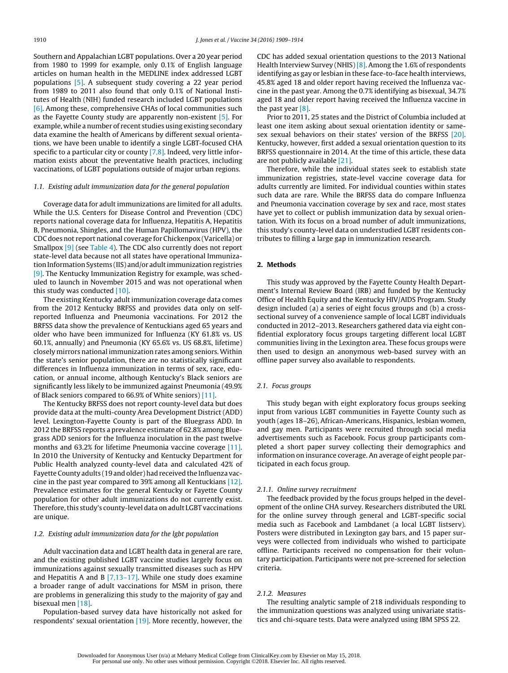Southern and Appalachian LGBT populations. Over a 20 year period from 1980 to 1999 for example, only 0.1% of English language articles on human health in the MEDLINE index addressed LGBT populations [\[5\].](#page-4-0) A subsequent study covering a 22 year period from 1989 to 2011 also found that only 0.1% of National Institutes of Health (NIH) funded research included LGBT populations [\[6\].](#page-4-0) Among these, comprehensive CHAs of local communities such as the Fayette County study are apparently non-existent [\[5\].](#page-4-0) For example, while a number of recent studies using existing secondary data examine the health of Americans by different sexual orientations, we have been unable to identify a single LGBT-focused CHA specific to a particular city or county [\[7,8\].](#page-4-0) Indeed, very little information exists about the preventative health practices, including vaccinations, of LGBT populations outside of major urban regions.

# 1.1. Existing adult immunization data for the general population

Coverage data for adult immunizations are limited for all adults. While the U.S. Centers for Disease Control and Prevention (CDC) reports national coverage data for Influenza, Hepatitis A, Hepatitis B, Pneumonia, Shingles, and the Human Papillomavirus (HPV), the CDC does not report national coverage for Chickenpox (Varicella) or Smallpox [\[9\]](#page-4-0) (see [Table](#page-3-0) 4). The CDC also currently does not report state-level data because not all states have operational Immunization Information Systems (IIS) and/or adultimmunization registries [\[9\].](#page-4-0) The Kentucky Immunization Registry for example, was scheduled to launch in November 2015 and was not operational when this study was conducted [\[10\].](#page-4-0)

The existing Kentucky adult immunization coverage data comes from the 2012 Kentucky BRFSS and provides data only on selfreported Influenza and Pneumonia vaccinations. For 2012 the BRFSS data show the prevalence of Kentuckians aged 65 years and older who have been immunized for Influenza (KY 61.8% vs. US 60.1%, annually) and Pneumonia (KY 65.6% vs. US 68.8%, lifetime) closely mirrors national immunization rates among seniors.Within the state's senior population, there are no statistically significant differences in Influenza immunization in terms of sex, race, education, or annual income, although Kentucky's Black seniors are significantly less likely to be immunized against Pneumonia (49.9% of Black seniors compared to 66.9% of White seniors) [\[11\].](#page-4-0)

The Kentucky BRFSS does not report county-level data but does provide data at the multi-county Area Development District (ADD) level. Lexington-Fayette County is part of the Bluegrass ADD. In 2012 the BRFSS reports a prevalence estimate of 62.8% among Bluegrass ADD seniors for the Influenza inoculation in the past twelve months and 63.2% for lifetime Pneumonia vaccine coverage [\[11\].](#page-4-0) In 2010 the University of Kentucky and Kentucky Department for Public Health analyzed county-level data and calculated 42% of Fayette County adults (19 and older) had received the Influenza vaccine in the past year compared to 39% among all Kentuckians [\[12\].](#page-4-0) Prevalence estimates for the general Kentucky or Fayette County population for other adult immunizations do not currently exist. Therefore, this study's county-level data on adult LGBT vaccinations are unique.

## 1.2. Existing adult immunization data for the lgbt population

Adult vaccination data and LGBT health data in general are rare, and the existing published LGBT vaccine studies largely focus on immunizations against sexually transmitted diseases such as HPV and Hepatitis A and B [\[7,13–17\].](#page-4-0) While one study does examine a broader range of adult vaccinations for MSM in prison, there are problems in generalizing this study to the majority of gay and bisexual men [\[18\].](#page-4-0)

Population-based survey data have historically not asked for respondents' sexual orientation [\[19\].](#page-5-0) More recently, however, the CDC has added sexual orientation questions to the 2013 National Health Interview Survey (NHIS)<sup>[8]</sup>. Among the 1.6% of respondents identifying as gay or lesbian in these face-to-face health interviews, 45.8% aged 18 and older report having received the Influenza vaccine in the past year. Among the 0.7% identifying as bisexual, 34.7% aged 18 and older report having received the Influenza vaccine in the past year  $[8]$ .

Prior to 2011, 25 states and the District of Columbia included at least one item asking about sexual orientation identity or samesex sexual behaviors on their states' version of the BRFSS [\[20\].](#page-5-0) Kentucky, however, first added a sexual orientation question to its BRFSS questionnaire in 2014. At the time of this article, these data are not publicly available [\[21\].](#page-5-0)

Therefore, while the individual states seek to establish state immunization registries, state-level vaccine coverage data for adults currently are limited. For individual counties within states such data are rare. While the BRFSS data do compare Influenza and Pneumonia vaccination coverage by sex and race, most states have yet to collect or publish immunization data by sexual orientation. With its focus on a broad number of adult immunizations, this study's county-level data on understudied LGBT residents contributes to filling a large gap in immunization research.

## **2. Methods**

This study was approved by the Fayette County Health Department's Internal Review Board (IRB) and funded by the Kentucky Office of Health Equity and the Kentucky HIV/AIDS Program. Study design included (a) a series of eight focus groups and (b) a crosssectional survey of a convenience sample of local LGBT individuals conducted in 2012–2013. Researchers gathered data via eight confidential exploratory focus groups targeting different local LGBT communities living in the Lexington area. These focus groups were then used to design an anonymous web-based survey with an offline paper survey also available to respondents.

## 2.1. Focus groups

This study began with eight exploratory focus groups seeking input from various LGBT communities in Fayette County such as youth (ages 18–26), African-Americans, Hispanics, lesbian women, and gay men. Participants were recruited through social media advertisements such as Facebook. Focus group participants completed a short paper survey collecting their demographics and information on insurance coverage. An average of eight people participated in each focus group.

#### 2.1.1. Online survey recruitment

The feedback provided by the focus groups helped in the development of the online CHA survey. Researchers distributed the URL for the online survey through general and LGBT-specific social media such as Facebook and Lambdanet (a local LGBT listserv). Posters were distributed in Lexington gay bars, and 15 paper surveys were collected from individuals who wished to participate offline. Participants received no compensation for their voluntary participation. Participants were not pre-screened for selection criteria.

# 2.1.2. Measures

The resulting analytic sample of 218 individuals responding to the immunization questions was analyzed using univariate statistics and chi-square tests. Data were analyzed using IBM SPSS 22.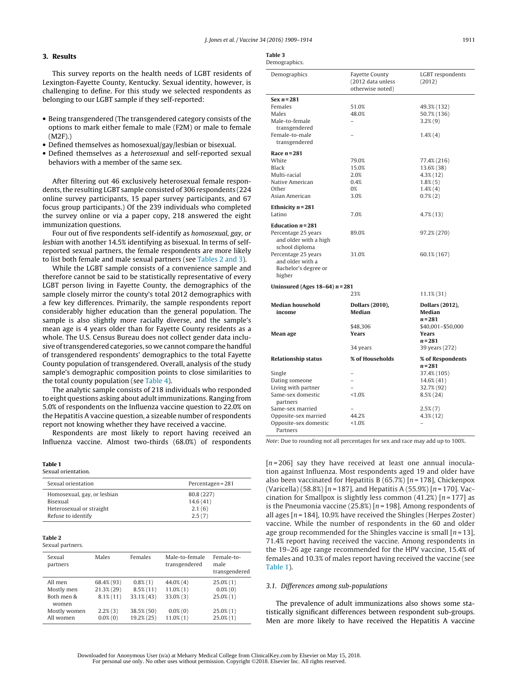# <span id="page-2-0"></span>**3. Results**

This survey reports on the health needs of LGBT residents of Lexington-Fayette County, Kentucky. Sexual identity, however, is challenging to define. For this study we selected respondents as belonging to our LGBT sample if they self-reported:

- Being transgendered (The transgendered category consists of the options to mark either female to male (F2M) or male to female (M2F).)
- Defined themselves as homosexual/gay/lesbian or bisexual.
- Defined themselves as a heterosexual and self-reported sexual behaviors with a member of the same sex.

After filtering out 46 exclusively heterosexual female respondents, the resulting LGBT sample consisted of 306 respondents (224 online survey participants, 15 paper survey participants, and 67 focus group participants.) Of the 239 individuals who completed the survey online or via a paper copy, 218 answered the eight immunization questions.

Four out of five respondents self-identify as homosexual, gay, or lesbian with another 14.5% identifying as bisexual. In terms of selfreported sexual partners, the female respondents are more likely to list both female and male sexual partners (see Tables 2 and 3).

While the LGBT sample consists of a convenience sample and therefore cannot be said to be statistically representative of every LGBT person living in Fayette County, the demographics of the sample closely mirror the county's total 2012 demographics with a few key differences. Primarily, the sample respondents report considerably higher education than the general population. The sample is also slightly more racially diverse, and the sample's mean age is 4 years older than for Fayette County residents as a whole. The U.S. Census Bureau does not collect gender data inclusive oftransgendered categories, so we cannot compare the handful of transgendered respondents' demographics to the total Fayette County population of transgendered. Overall, analysis of the study sample's demographic composition points to close similarities to the total county population (see [Table](#page-3-0) 4).

The analytic sample consists of 218 individuals who responded to eight questions asking about adultimmunizations. Ranging from 5.0% of respondents on the Influenza vaccine question to 22.0% on the Hepatitis A vaccine question, a sizeable number of respondents report not knowing whether they have received a vaccine.

Respondents are most likely to report having received an Influenza vaccine. Almost two-thirds (68.0%) of respondents

#### **Table 1**

| Sexual orientation. |  |  |  |  |
|---------------------|--|--|--|--|
| Percentagen = $281$ |  |  |  |  |
| 80.8 (227)          |  |  |  |  |
| 14.6(41)            |  |  |  |  |
| 2.1(6)              |  |  |  |  |
| 2.5(7)              |  |  |  |  |
|                     |  |  |  |  |

## **Table 2**

Sexual partners.

| Sexual<br>partners  | Males         | Females      | Male-to-female<br>transgendered | Female-to-<br>male<br>transgendered |
|---------------------|---------------|--------------|---------------------------------|-------------------------------------|
| All men             | 68.4% (93)    | $0.8\%$ (1)  | $44.0\%$ (4)                    | $25.0\%$ (1)                        |
| Mostly men          | $21.3\%$ (29) | $8.5\%$ (11) | $11.0\%$ $(1)$                  | $0.0\%$ (0)                         |
| Both men &<br>women | $8.1\%$ (11)  | 33.1% (43)   | $33.0\%$ $(3)$                  | $25.0\%$ (1)                        |
| Mostly women        | $2.2\%$ $(3)$ | 38.5% (50)   | $0.0\%(0)$                      | $25.0\%$ (1)                        |
| All women           | $0.0\%$ (0)   | 19.2% (25)   | $11.0\%$ $(1)$                  | $25.0\%$ $(1)$                      |

| $\sim$ |
|--------|
|        |

| Demographics. |
|---------------|
|---------------|

| Demographics                      | <b>Fayette County</b><br>(2012 data unless<br>otherwise noted) | LGBT respondents<br>(2012) |  |  |  |
|-----------------------------------|----------------------------------------------------------------|----------------------------|--|--|--|
| Sex $n = 281$                     |                                                                |                            |  |  |  |
| Females                           | 51.0%                                                          | 49.3% (132)                |  |  |  |
| Males                             | 48.0%                                                          | 50.7% (136)                |  |  |  |
| Male-to-female                    |                                                                | $3.2\%$ $(9)$              |  |  |  |
| transgendered                     |                                                                |                            |  |  |  |
| Female-to-male                    |                                                                | $1.4\%$ $(4)$              |  |  |  |
| transgendered                     |                                                                |                            |  |  |  |
| Race $n = 281$                    |                                                                |                            |  |  |  |
| White                             | 79.0%                                                          | 77.4% (216)                |  |  |  |
| Black                             | 15.0%                                                          | 13.6% (38)                 |  |  |  |
| Multi-racial                      | 2.0%                                                           | $4.3\%$ (12)               |  |  |  |
| Native American                   | 0.4%                                                           | $1.8\%$ $(5)$              |  |  |  |
| Other                             | 0%                                                             | $1.4\%$ $(4)$              |  |  |  |
| Asian American                    | 3.0%                                                           | $0.7\%(2)$                 |  |  |  |
| Ethnicity $n = 281$               |                                                                |                            |  |  |  |
| Latino                            | 7.0%                                                           | $4.7\%$ (13)               |  |  |  |
|                                   |                                                                |                            |  |  |  |
| Education $n = 281$               |                                                                |                            |  |  |  |
| Percentage 25 years               | 89.0%                                                          | 97.2% (270)                |  |  |  |
| and older with a high             |                                                                |                            |  |  |  |
| school diploma                    |                                                                |                            |  |  |  |
| Percentage 25 years               | 31.0%                                                          | 60.1% (167)                |  |  |  |
| and older with a                  |                                                                |                            |  |  |  |
| Bachelor's degree or              |                                                                |                            |  |  |  |
| higher                            |                                                                |                            |  |  |  |
| Uninsured (Ages $18-64$ ) $n=281$ |                                                                |                            |  |  |  |
| 23%<br>11.1% (31)                 |                                                                |                            |  |  |  |
| <b>Median household</b>           | <b>Dollars (2010),</b>                                         | <b>Dollars (2012),</b>     |  |  |  |
| income                            | <b>Median</b>                                                  | <b>Median</b>              |  |  |  |
|                                   |                                                                | $n = 281$                  |  |  |  |
|                                   | \$48.306                                                       | \$40,001-\$50,000          |  |  |  |
| Mean age                          | <b>Years</b>                                                   | Years                      |  |  |  |
|                                   |                                                                | $n = 281$                  |  |  |  |
|                                   | 34 years                                                       | 39 years (272)             |  |  |  |
| <b>Relationship status</b>        | % of Households                                                | % of Respondents           |  |  |  |
|                                   |                                                                | $n = 281$                  |  |  |  |
| Single                            |                                                                | 37.4% (105)                |  |  |  |
| Dating someone                    |                                                                | 14.6% (41)                 |  |  |  |
| Living with partner               |                                                                | 32.7% (92)                 |  |  |  |
| Same-sex domestic                 | < 1.0%                                                         | $8.5\%$ (24)               |  |  |  |
| partners                          |                                                                |                            |  |  |  |
| Same-sex married                  |                                                                | $2.5\%$ $(7)$              |  |  |  |
| Opposite-sex married              |                                                                |                            |  |  |  |
|                                   | 44.2%                                                          | $4.3\%$ (12)               |  |  |  |
| Opposite-sex domestic<br>Partners | <1.0%                                                          |                            |  |  |  |

Note: Due to rounding not all percentages for sex and race may add up to 100%.

 $[n = 206]$  say they have received at least one annual inoculation against Influenza. Most respondents aged 19 and older have also been vaccinated for Hepatitis B (65.7%)  $[n=178]$ , Chickenpox (Varicella) (58.8%) [ $n = 187$ ], and Hepatitis A (55.9%) [ $n = 170$ ]. Vaccination for Smallpox is slightly less common (41.2%)  $[n=177]$  as is the Pneumonia vaccine (25.8%)  $[n=198]$ . Among respondents of all ages  $[n = 184]$ , 10.9% have received the Shingles (Herpes Zoster) vaccine. While the number of respondents in the 60 and older age group recommended for the Shingles vaccine is small  $[n=13]$ , 71.4% report having received the vaccine. Among respondents in the 19–26 age range recommended for the HPV vaccine, 15.4% of females and 10.3% of males report having received the vaccine (see Table 1).

## 3.1. Differences among sub-populations

The prevalence of adult immunizations also shows some statistically significant differences between respondent sub-groups. Men are more likely to have received the Hepatitis A vaccine

Downloaded for Anonymous User (n/a) at Meharry Medical College from ClinicalKey.com by Elsevier on May 15, 2018. For personal use only. No other uses without permission. Copyright ©2018. Elsevier Inc. All rights reserved.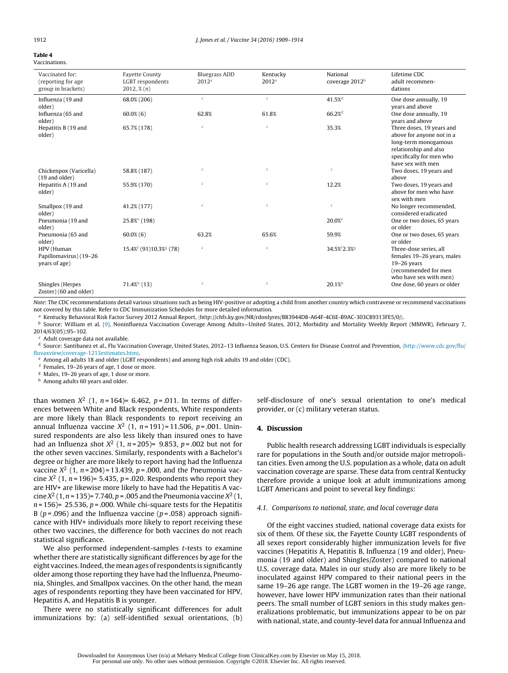#### <span id="page-3-0"></span>**Table 4** Vaccinations.

| Vaccinated for:<br>(reporting for age<br>group in brackets) | <b>Fayette County</b><br>LGBT respondents<br>$2012, \frac{8}{n}$ (n) | <b>Bluegrass ADD</b><br>2012 <sup>a</sup> | Kentucky<br>2012 <sup>a</sup> | National<br>coverage 2012 <sup>b</sup> | Lifetime CDC<br>adult recommen-<br>dations                                                                                                               |
|-------------------------------------------------------------|----------------------------------------------------------------------|-------------------------------------------|-------------------------------|----------------------------------------|----------------------------------------------------------------------------------------------------------------------------------------------------------|
| Influenza (19 and<br>older)                                 | 68.0% (206)                                                          | $\mathbf{c}$                              | $\mathbf{c}$                  | $41.5%$ <sup>d</sup>                   | One dose annually, 19<br>years and above                                                                                                                 |
| Influenza (65 and<br>older)                                 | $60.0\%$ (6)                                                         | 62.8%                                     | 61.8%                         | 66.2%                                  | One dose annually, 19<br>years and above                                                                                                                 |
| Hepatitis B (19 and<br>older)                               | 65.7% (178)                                                          | $\mathbf{c}$                              | $\mathbf{c}$                  | 35.3%                                  | Three doses, 19 years and<br>above for anyone not in a<br>long-term monogamous<br>relationship and also<br>specifically for men who<br>have sex with men |
| Chickenpox (Varicella)<br>(19 and older)                    | 58.8% (187)                                                          | $\mathbf c$                               | $\mathbf{c}$                  | $\mathbf c$                            | Two doses, 19 years and<br>above                                                                                                                         |
| Hepatitis A (19 and<br>older)                               | 55.9% (170)                                                          | $\mathbf{c}$                              | $\mathbf{c}$                  | 12.2%                                  | Two doses, 19 years and<br>above for men who have<br>sex with men                                                                                        |
| Smallpox (19 and<br>older)                                  | 41.2% (177)                                                          | $\mathbf c$                               | $\mathbf c$                   | $\mathbf c$                            | No longer recommended,<br>considered eradicated                                                                                                          |
| Pneumonia (19 and<br>older)                                 | 25.8% <sup>e</sup> (198)                                             |                                           |                               | 20.0% <sup>e</sup>                     | One or two doses, 65 years<br>or older                                                                                                                   |
| Pneumonia (65 and<br>older)                                 | $60.0\%$ $(6)$                                                       | 63.2%                                     | 65.6%                         | 59.9%                                  | One or two doses, 65 years<br>or older                                                                                                                   |
| HPV (Human<br>Papillomavirus) (19-26<br>years of age)       | $15.4\%$ <sup>[</sup> (91)10.3% <sup>g</sup> (78)                    | $\mathbf c$                               | $\mathbf{c}$                  | 34.5% <sup>f</sup> 2.3% <sup>g</sup>   | Three-dose series, all<br>females 19-26 years, males<br>$19-26$ years<br>(recommended for men<br>who have sex with men)                                  |
| Shingles (Herpes<br>Zoster) (60 and older)                  | $71.4\%$ <sup>h</sup> (13)                                           | $\mathbf{c}$                              | $\mathbf c$                   | 20.1%                                  | One dose, 60 years or older                                                                                                                              |

Note: The CDC recommendations detail various situations such as being HIV-positive or adopting a child from another country which contravene or recommend vaccinations not covered by this table. Refer to CDC Immunization Schedules for more detailed information.

<sup>a</sup> Kentucky Behavioral Risk Factor Survey 2012 Annual Report, (http://chfs.ky.gov/NR/rdonlyres/B83944D8-A64F-4C6E-B9AC-303C89313FE5/0/).<br><sup>b</sup> Source: William et al. [\[9\],](#page-4-0) Noninfluenza Vaccination Coverage Among Adults—Unite 2014/63(05);95–102.

 $c$  Adult coverage data not available.

<sup>d</sup> Source: Santibanez et al., Flu Vaccination Coverage, United States, 2012-13 Influenza Season, U.S. Centers for Disease Control and Prevention, ([http://www.cdc.gov/flu/](http://www.cdc.gov/flu/fluvaxview/coverage-1213estimates.htm)<br>fluvaxview/coverage-1213estimates.htm).

 $e$  Among all adults 18 and older (LGBT respondents) and among high risk adults 19 and older (CDC).

<sup>f</sup> Females, 19–26 years of age, 1 dose or more.

<sup>g</sup> Males, 19–26 years of age, 1 dose or more.

h Among adults 60 years and older.

than women  $X^2$  (1,  $n = 164$ ) = 6.462,  $p = .011$ . In terms of differences between White and Black respondents, White respondents are more likely than Black respondents to report receiving an annual Influenza vaccine  $X^2$  (1, n = 191) = 11.506, p = .001. Uninsured respondents are also less likely than insured ones to have had an Influenza shot  $X^2$  (1, n = 205)= 9.853, p = .002 but not for the other seven vaccines. Similarly, respondents with a Bachelor's degree or higher are more likely to report having had the Influenza vaccine  $X^2$  (1, n = 204) = 13.439, p = .000, and the Pneumonia vaccine  $X^2$  (1, n = 196)= 5.435, p = .020. Respondents who report they are HIV+ are likewise more likely to have had the Hepatitis A vaccine  $X^2$  (1, n = 135) = 7.740, p = .005 and the Pneumonia vaccine  $X^2$  (1,  $n = 156$  = 25.536,  $p = .000$ . While chi-square tests for the Hepatitis B ( $p = .096$ ) and the Influenza vaccine ( $p = .058$ ) approach significance with HIV+ individuals more likely to report receiving these other two vaccines, the difference for both vaccines do not reach statistical significance.

We also performed independent-samples *t*-tests to examine whether there are statistically significant differences by age for the eight vaccines. Indeed, the mean ages of respondents is significantly older among those reporting they have had the Influenza, Pneumonia, Shingles, and Smallpox vaccines. On the other hand, the mean ages of respondents reporting they have been vaccinated for HPV, Hepatitis A, and Hepatitis B is younger.

There were no statistically significant differences for adult immunizations by: (a) self-identified sexual orientations, (b) self-disclosure of one's sexual orientation to one's medical provider, or (c) military veteran status.

## **4. Discussion**

Public health research addressing LGBT individuals is especially rare for populations in the South and/or outside major metropolitan cities. Even among the U.S. population as a whole, data on adult vaccination coverage are sparse. These data from central Kentucky therefore provide a unique look at adult immunizations among LGBT Americans and point to several key findings:

## 4.1. Comparisons to national, state, and local coverage data

Of the eight vaccines studied, national coverage data exists for six of them. Of these six, the Fayette County LGBT respondents of all sexes report considerably higher immunization levels for five vaccines (Hepatitis A, Hepatitis B, Influenza (19 and older), Pneumonia (19 and older) and Shingles/Zoster) compared to national U.S. coverage data. Males in our study also are more likely to be inoculated against HPV compared to their national peers in the same 19–26 age range. The LGBT women in the 19–26 age range, however, have lower HPV immunization rates than their national peers. The small number of LGBT seniors in this study makes generalizations problematic, but immunizations appear to be on par with national, state, and county-level data for annual Influenza and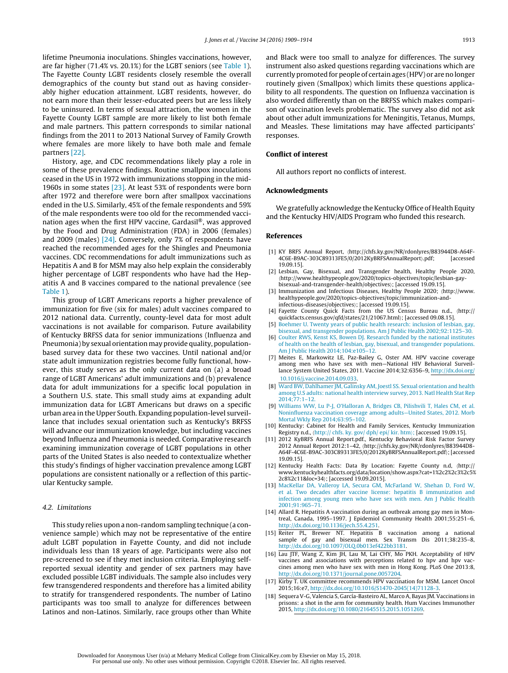<span id="page-4-0"></span>lifetime Pneumonia inoculations. Shingles vaccinations, however, are far higher (71.4% vs. 20.1%) for the LGBT seniors (see [Table](#page-2-0) 1). The Fayette County LGBT residents closely resemble the overall demographics of the county but stand out as having considerably higher education attainment. LGBT residents, however, do not earn more than their lesser-educated peers but are less likely to be uninsured. In terms of sexual attraction, the women in the Fayette County LGBT sample are more likely to list both female and male partners. This pattern corresponds to similar national findings from the 2011 to 2013 National Survey of Family Growth where females are more likely to have both male and female partners [\[22\].](#page-5-0)

History, age, and CDC recommendations likely play a role in some of these prevalence findings. Routine smallpox inoculations ceased in the US in 1972 with immunizations stopping in the mid-1960s in some states [\[23\].](#page-5-0) At least 53% of respondents were born after 1972 and therefore were born after smallpox vaccinations ended in the U.S. Similarly, 45% of the female respondents and 59% of the male respondents were too old for the recommended vaccination ages when the first HPV vaccine, Gardasil®, was approved by the Food and Drug Administration (FDA) in 2006 (females) and 2009 (males) [\[24\].](#page-5-0) Conversely, only 7% of respondents have reached the recommended ages for the Shingles and Pneumonia vaccines. CDC recommendations for adult immunizations such as Hepatitis A and B for MSM may also help explain the considerably higher percentage of LGBT respondents who have had the Hepatitis A and B vaccines compared to the national prevalence (see [Table](#page-2-0) 1).

This group of LGBT Americans reports a higher prevalence of immunization for five (six for males) adult vaccines compared to 2012 national data. Currently, county-level data for most adult vaccinations is not available for comparison. Future availability of Kentucky BRFSS data for senior immunizations (Influenza and Pneumonia) by sexual orientation may provide quality, populationbased survey data for these two vaccines. Until national and/or state adult immunization registries become fully functional, however, this study serves as the only current data on (a) a broad range of LGBT Americans' adult immunizations and (b) prevalence data for adult immunizations for a specific local population in a Southern U.S. state. This small study aims at expanding adult immunization data for LGBT Americans but draws on a specific urban area in the Upper South. Expanding population-level surveillance that includes sexual orientation such as Kentucky's BRFSS will advance our immunization knowledge, but including vaccines beyond Influenza and Pneumonia is needed. Comparative research examining immunization coverage of LGBT populations in other parts of the United States is also needed to contextualize whether this study's findings of higher vaccination prevalence among LGBT populations are consistent nationally or a reflection of this particular Kentucky sample.

# 4.2. Limitations

This study relies upon a non-random sampling technique (a convenience sample) which may not be representative of the entire adult LGBT population in Fayette County, and did not include individuals less than 18 years of age. Participants were also not pre-screened to see if they met inclusion criteria. Employing selfreported sexual identity and gender of sex partners may have excluded possible LGBT individuals. The sample also includes very few transgendered respondents and therefore has a limited ability to stratify for transgendered respondents. The number of Latino participants was too small to analyze for differences between Latinos and non-Latinos. Similarly, race groups other than White

and Black were too small to analyze for differences. The survey instrument also asked questions regarding vaccinations which are currently promoted for people of certain ages (HPV) or are no longer routinely given (Smallpox) which limits these questions applicability to all respondents. The question on Influenza vaccination is also worded differently than on the BRFSS which makes comparison of vaccination levels problematic. The survey also did not ask about other adult immunizations for Meningitis, Tetanus, Mumps, and Measles. These limitations may have affected participants' responses.

## **Conflict of interest**

All authors report no conflicts of interest.

#### **Acknowledgments**

We gratefully acknowledge the Kentucky Office of Health Equity and the Kentucky HIV/AIDS Program who funded this research.

#### **References**

- [1] KY BRFS Annual Report, http://chfs.ky.gov/NR/rdonlyres/B83944D8-A64F-4C6E-B9AC-303C89313FE5/0/2012KyBRFSAnnualReport).pdf; 19.09.15].
- [2] Lesbian, Gay, Bisexual, and Transgender health, Healthy People 2020, http://www.healthypeople.gov/2020/topics-objectives/topic/lesbian-gaybisexual-and-transgender-health/objectives; [accessed 19.09.15].
- [3] Immunization and Infectious Diseases, Healthy People 2020; http://www. healthypeople.gov/2020/topics-objectives/topic/immunization-andinfectious-diseases/objectives; [accessed 19.09.15].
- [4] Fayette County Quick Facts from the US Census Bureau n.d., http:// quickfacts.census.gov/qfd/states/21/21067.html; [accessed 09.08.15].
- [5] [Boehmer](http://refhub.elsevier.com/S0264-410X(16)00235-8/sbref0145) [U.](http://refhub.elsevier.com/S0264-410X(16)00235-8/sbref0145) [Twenty](http://refhub.elsevier.com/S0264-410X(16)00235-8/sbref0145) [years](http://refhub.elsevier.com/S0264-410X(16)00235-8/sbref0145) [of](http://refhub.elsevier.com/S0264-410X(16)00235-8/sbref0145) [public](http://refhub.elsevier.com/S0264-410X(16)00235-8/sbref0145) [health](http://refhub.elsevier.com/S0264-410X(16)00235-8/sbref0145) [research:](http://refhub.elsevier.com/S0264-410X(16)00235-8/sbref0145) [inclusion](http://refhub.elsevier.com/S0264-410X(16)00235-8/sbref0145) [of](http://refhub.elsevier.com/S0264-410X(16)00235-8/sbref0145) [lesbian,](http://refhub.elsevier.com/S0264-410X(16)00235-8/sbref0145) [gay,](http://refhub.elsevier.com/S0264-410X(16)00235-8/sbref0145) [bisexual,](http://refhub.elsevier.com/S0264-410X(16)00235-8/sbref0145) [and](http://refhub.elsevier.com/S0264-410X(16)00235-8/sbref0145) [transgender](http://refhub.elsevier.com/S0264-410X(16)00235-8/sbref0145) [populations.](http://refhub.elsevier.com/S0264-410X(16)00235-8/sbref0145) [Am](http://refhub.elsevier.com/S0264-410X(16)00235-8/sbref0145) [J](http://refhub.elsevier.com/S0264-410X(16)00235-8/sbref0145) [Public](http://refhub.elsevier.com/S0264-410X(16)00235-8/sbref0145) [Health](http://refhub.elsevier.com/S0264-410X(16)00235-8/sbref0145) [2002;92:1125–30.](http://refhub.elsevier.com/S0264-410X(16)00235-8/sbref0145)
- [6] [Coulter](http://refhub.elsevier.com/S0264-410X(16)00235-8/sbref0150) [RWS,](http://refhub.elsevier.com/S0264-410X(16)00235-8/sbref0150) [Kenst](http://refhub.elsevier.com/S0264-410X(16)00235-8/sbref0150) [KS,](http://refhub.elsevier.com/S0264-410X(16)00235-8/sbref0150) [Bowen](http://refhub.elsevier.com/S0264-410X(16)00235-8/sbref0150) [DJ.](http://refhub.elsevier.com/S0264-410X(16)00235-8/sbref0150) [Research](http://refhub.elsevier.com/S0264-410X(16)00235-8/sbref0150) [funded](http://refhub.elsevier.com/S0264-410X(16)00235-8/sbref0150) [by](http://refhub.elsevier.com/S0264-410X(16)00235-8/sbref0150) [the](http://refhub.elsevier.com/S0264-410X(16)00235-8/sbref0150) [national](http://refhub.elsevier.com/S0264-410X(16)00235-8/sbref0150) [institutes](http://refhub.elsevier.com/S0264-410X(16)00235-8/sbref0150) [of](http://refhub.elsevier.com/S0264-410X(16)00235-8/sbref0150) [health](http://refhub.elsevier.com/S0264-410X(16)00235-8/sbref0150) [on](http://refhub.elsevier.com/S0264-410X(16)00235-8/sbref0150) [the](http://refhub.elsevier.com/S0264-410X(16)00235-8/sbref0150) [health](http://refhub.elsevier.com/S0264-410X(16)00235-8/sbref0150) [of](http://refhub.elsevier.com/S0264-410X(16)00235-8/sbref0150) [lesbian,](http://refhub.elsevier.com/S0264-410X(16)00235-8/sbref0150) [gay,](http://refhub.elsevier.com/S0264-410X(16)00235-8/sbref0150) [bisexual,](http://refhub.elsevier.com/S0264-410X(16)00235-8/sbref0150) [and](http://refhub.elsevier.com/S0264-410X(16)00235-8/sbref0150) [transgender](http://refhub.elsevier.com/S0264-410X(16)00235-8/sbref0150) [populations.](http://refhub.elsevier.com/S0264-410X(16)00235-8/sbref0150) [Am](http://refhub.elsevier.com/S0264-410X(16)00235-8/sbref0150) [J](http://refhub.elsevier.com/S0264-410X(16)00235-8/sbref0150) [Public](http://refhub.elsevier.com/S0264-410X(16)00235-8/sbref0150) [Health](http://refhub.elsevier.com/S0264-410X(16)00235-8/sbref0150) [2014;104:e105](http://refhub.elsevier.com/S0264-410X(16)00235-8/sbref0150)–[12.](http://refhub.elsevier.com/S0264-410X(16)00235-8/sbref0150)
- [7] Meites E, Markowitz LE, Paz-Bailey G, Oster AM. HPV vaccine coverage among men who have sex with men—National HIV Behavioral Surveillance System United States, 2011. Vaccine 2014;32:6356–9, [http://dx.doi.org/](dx.doi.org/10.1016/j.vaccine.2014.09.033) [10.1016/j.vaccine.2014.09.033](dx.doi.org/10.1016/j.vaccine.2014.09.033).
- [8] [Ward](http://refhub.elsevier.com/S0264-410X(16)00235-8/sbref0160) [BW,](http://refhub.elsevier.com/S0264-410X(16)00235-8/sbref0160) [Dahlhamer](http://refhub.elsevier.com/S0264-410X(16)00235-8/sbref0160) [JM,](http://refhub.elsevier.com/S0264-410X(16)00235-8/sbref0160) [Galinsky](http://refhub.elsevier.com/S0264-410X(16)00235-8/sbref0160) [AM,](http://refhub.elsevier.com/S0264-410X(16)00235-8/sbref0160) [Joestl](http://refhub.elsevier.com/S0264-410X(16)00235-8/sbref0160) [SS.](http://refhub.elsevier.com/S0264-410X(16)00235-8/sbref0160) [Sexual](http://refhub.elsevier.com/S0264-410X(16)00235-8/sbref0160) [orientation](http://refhub.elsevier.com/S0264-410X(16)00235-8/sbref0160) [and](http://refhub.elsevier.com/S0264-410X(16)00235-8/sbref0160) [health](http://refhub.elsevier.com/S0264-410X(16)00235-8/sbref0160) [among](http://refhub.elsevier.com/S0264-410X(16)00235-8/sbref0160) [U.S](http://refhub.elsevier.com/S0264-410X(16)00235-8/sbref0160) [adults:](http://refhub.elsevier.com/S0264-410X(16)00235-8/sbref0160) [national](http://refhub.elsevier.com/S0264-410X(16)00235-8/sbref0160) [health](http://refhub.elsevier.com/S0264-410X(16)00235-8/sbref0160) [interview](http://refhub.elsevier.com/S0264-410X(16)00235-8/sbref0160) [survey,](http://refhub.elsevier.com/S0264-410X(16)00235-8/sbref0160) [2013.](http://refhub.elsevier.com/S0264-410X(16)00235-8/sbref0160) [Natl](http://refhub.elsevier.com/S0264-410X(16)00235-8/sbref0160) [Health](http://refhub.elsevier.com/S0264-410X(16)00235-8/sbref0160) [Stat](http://refhub.elsevier.com/S0264-410X(16)00235-8/sbref0160) [Rep](http://refhub.elsevier.com/S0264-410X(16)00235-8/sbref0160) [2014;77:1–12.](http://refhub.elsevier.com/S0264-410X(16)00235-8/sbref0160)
- [9] [Williams](http://refhub.elsevier.com/S0264-410X(16)00235-8/sbref0165) [WW,](http://refhub.elsevier.com/S0264-410X(16)00235-8/sbref0165) [Lu](http://refhub.elsevier.com/S0264-410X(16)00235-8/sbref0165) [P-J,](http://refhub.elsevier.com/S0264-410X(16)00235-8/sbref0165) [O'Halloran](http://refhub.elsevier.com/S0264-410X(16)00235-8/sbref0165) [A,](http://refhub.elsevier.com/S0264-410X(16)00235-8/sbref0165) [Bridges](http://refhub.elsevier.com/S0264-410X(16)00235-8/sbref0165) [CB,](http://refhub.elsevier.com/S0264-410X(16)00235-8/sbref0165) [Pilishvili](http://refhub.elsevier.com/S0264-410X(16)00235-8/sbref0165) [T,](http://refhub.elsevier.com/S0264-410X(16)00235-8/sbref0165) [Hales](http://refhub.elsevier.com/S0264-410X(16)00235-8/sbref0165) [CM,](http://refhub.elsevier.com/S0264-410X(16)00235-8/sbref0165) [et](http://refhub.elsevier.com/S0264-410X(16)00235-8/sbref0165) [al.](http://refhub.elsevier.com/S0264-410X(16)00235-8/sbref0165) [Noninfluenza](http://refhub.elsevier.com/S0264-410X(16)00235-8/sbref0165) [vaccination](http://refhub.elsevier.com/S0264-410X(16)00235-8/sbref0165) [coverage](http://refhub.elsevier.com/S0264-410X(16)00235-8/sbref0165) [among](http://refhub.elsevier.com/S0264-410X(16)00235-8/sbref0165) [adults—United](http://refhub.elsevier.com/S0264-410X(16)00235-8/sbref0165) [States,](http://refhub.elsevier.com/S0264-410X(16)00235-8/sbref0165) [2012.](http://refhub.elsevier.com/S0264-410X(16)00235-8/sbref0165) [Morb](http://refhub.elsevier.com/S0264-410X(16)00235-8/sbref0165) [Mortal](http://refhub.elsevier.com/S0264-410X(16)00235-8/sbref0165) [Wkly](http://refhub.elsevier.com/S0264-410X(16)00235-8/sbref0165) [Rep](http://refhub.elsevier.com/S0264-410X(16)00235-8/sbref0165) [2014;63:95–102.](http://refhub.elsevier.com/S0264-410X(16)00235-8/sbref0165)
- [10] Kentucky: Cabinet for Health and Family Services, Kentucky Immunization Registry n.d., ([http://](http://chfs.ky.gov/dph/epi/kir.htm();) [chfs.](http://chfs.ky.gov/dph/epi/kir.htm();) [ky.](http://chfs.ky.gov/dph/epi/kir.htm();) [gov/](http://chfs.ky.gov/dph/epi/kir.htm();) [dph/](http://chfs.ky.gov/dph/epi/kir.htm();) [epi/](http://chfs.ky.gov/dph/epi/kir.htm();) [kir.](http://chfs.ky.gov/dph/epi/kir.htm();) [htm](http://chfs.ky.gov/dph/epi/kir.htm();)); [accessed 19.09.15].
- [11] 2012 KyBRFS Annual Report.pdf., Kentucky Behavioral Risk Factor Survey 2012 Annual Report 2012:1–42, http://chfs.ky.gov/NR/rdonlyres/B83944D8- A64F-4C6E-B9AC-303C89313FE5/0/2012KyBRFSAnnualReport.pdf; [accessed 19.09.15].
- [12] Kentucky Health Facts: Data By Location: Fayette County n.d, (http:// www.kentuckyhealthfacts.org/data/location/show.aspx?cat=1%2c2%2c3%2c5% 2c8%2c11&loc=34; [accessed 19.09.2015].
- [13] [MacKellar](http://refhub.elsevier.com/S0264-410X(16)00235-8/sbref0185) [DA,](http://refhub.elsevier.com/S0264-410X(16)00235-8/sbref0185) [Valleroy](http://refhub.elsevier.com/S0264-410X(16)00235-8/sbref0185) [LA,](http://refhub.elsevier.com/S0264-410X(16)00235-8/sbref0185) [Secura](http://refhub.elsevier.com/S0264-410X(16)00235-8/sbref0185) [GM,](http://refhub.elsevier.com/S0264-410X(16)00235-8/sbref0185) [McFarland](http://refhub.elsevier.com/S0264-410X(16)00235-8/sbref0185) [W,](http://refhub.elsevier.com/S0264-410X(16)00235-8/sbref0185) [Shehan](http://refhub.elsevier.com/S0264-410X(16)00235-8/sbref0185) [D,](http://refhub.elsevier.com/S0264-410X(16)00235-8/sbref0185) [Ford](http://refhub.elsevier.com/S0264-410X(16)00235-8/sbref0185) W, [et](http://refhub.elsevier.com/S0264-410X(16)00235-8/sbref0185) [al.](http://refhub.elsevier.com/S0264-410X(16)00235-8/sbref0185) [Two](http://refhub.elsevier.com/S0264-410X(16)00235-8/sbref0185) [decades](http://refhub.elsevier.com/S0264-410X(16)00235-8/sbref0185) [after](http://refhub.elsevier.com/S0264-410X(16)00235-8/sbref0185) [vaccine](http://refhub.elsevier.com/S0264-410X(16)00235-8/sbref0185) [license:](http://refhub.elsevier.com/S0264-410X(16)00235-8/sbref0185) [hepatitis](http://refhub.elsevier.com/S0264-410X(16)00235-8/sbref0185) [B](http://refhub.elsevier.com/S0264-410X(16)00235-8/sbref0185) [immunization](http://refhub.elsevier.com/S0264-410X(16)00235-8/sbref0185) [and](http://refhub.elsevier.com/S0264-410X(16)00235-8/sbref0185) [infection](http://refhub.elsevier.com/S0264-410X(16)00235-8/sbref0185) [among](http://refhub.elsevier.com/S0264-410X(16)00235-8/sbref0185) [young](http://refhub.elsevier.com/S0264-410X(16)00235-8/sbref0185) [men](http://refhub.elsevier.com/S0264-410X(16)00235-8/sbref0185) [who](http://refhub.elsevier.com/S0264-410X(16)00235-8/sbref0185) [have](http://refhub.elsevier.com/S0264-410X(16)00235-8/sbref0185) [sex](http://refhub.elsevier.com/S0264-410X(16)00235-8/sbref0185) [with](http://refhub.elsevier.com/S0264-410X(16)00235-8/sbref0185) [men.](http://refhub.elsevier.com/S0264-410X(16)00235-8/sbref0185) [Am](http://refhub.elsevier.com/S0264-410X(16)00235-8/sbref0185) [J](http://refhub.elsevier.com/S0264-410X(16)00235-8/sbref0185) [Public](http://refhub.elsevier.com/S0264-410X(16)00235-8/sbref0185) [Health](http://refhub.elsevier.com/S0264-410X(16)00235-8/sbref0185) [2001;91:965](http://refhub.elsevier.com/S0264-410X(16)00235-8/sbref0185)–[71.](http://refhub.elsevier.com/S0264-410X(16)00235-8/sbref0185)
- [14] Allard R. Hepatitis A vaccination during an outbreak among gay men in Montreal, Canada, 1995–1997. J Epidemiol Community Health 2001;55:251–6, [http://dx.doi.org/10.1136/jech.55.4.251](dx.doi.org/10.1136/jech.55.4.251).
- [15] Reiter PL, Brewer NT. Hepatitis B vaccination among a national sample of gay and bisexual men. Sex Transm Dis 2011;38:235–8, [http://dx.doi.org/10.1097/OLQ.0b013ef422bb3181.](dx.doi.org/10.1097/OLQ.0b013ef422bb3181)
- [16] Lau JTF, Wang Z, Kim JH, Lau M, Lai CHY, Mo PKH. Acceptability of HPV vaccines and associations with perceptions related to hpv and hpv vaccines among men who have sex with men in Hong Kong. PLoS One 2013:8, [http://dx.doi.org/10.1371/journal.pone.0057204](dx.doi.org/10.1371/journal.pone.0057204).
- [17] Kirby T. UK committee recommends HPV vaccination for MSM. Lancet Oncol 2015;16:e7, [http://dx.doi.org/10.1016/S1470-2045\(14\)71128-3](dx.doi.org/10.1016/S1470-2045(14)71128-3).
- [18] Sequera V-G, Valencia S, García-Basteiro AL, Marco A, Bayas JM. Vaccinations in prisons: a shot in the arm for community health. Hum Vaccines Immunother 2015, [http://dx.doi.org/10.1080/21645515.2015.1051269.](dx.doi.org/10.1080/21645515.2015.1051269)